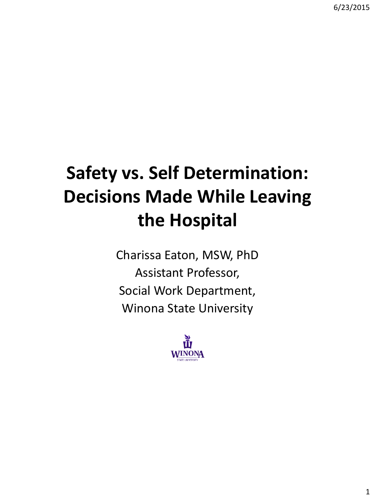# **Safety vs. Self Determination: Decisions Made While Leaving the Hospital**

Charissa Eaton, MSW, PhD Assistant Professor, Social Work Department, Winona State University

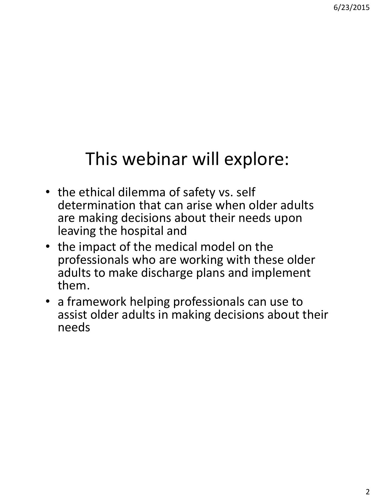## This webinar will explore:

- the ethical dilemma of safety vs. self determination that can arise when older adults are making decisions about their needs upon leaving the hospital and
- the impact of the medical model on the professionals who are working with these older adults to make discharge plans and implement them.
- a framework helping professionals can use to assist older adults in making decisions about their needs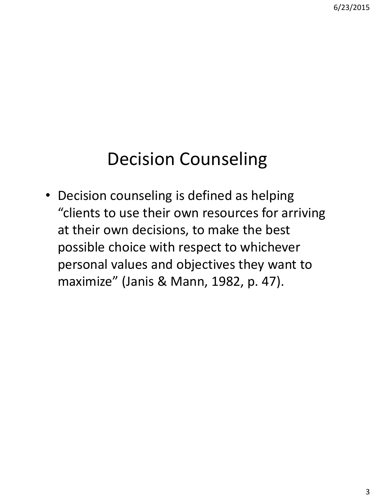### Decision Counseling

• Decision counseling is defined as helping "clients to use their own resources for arriving at their own decisions, to make the best possible choice with respect to whichever personal values and objectives they want to maximize" (Janis & Mann, 1982, p. 47).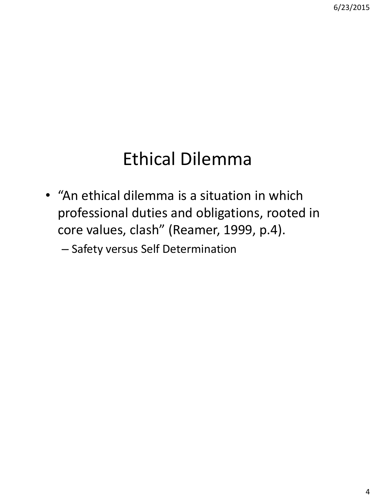### Ethical Dilemma

- "An ethical dilemma is a situation in which professional duties and obligations, rooted in core values, clash" (Reamer, 1999, p.4).
	- Safety versus Self Determination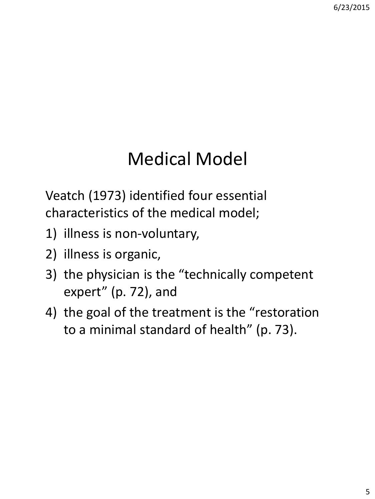## Medical Model

Veatch (1973) identified four essential characteristics of the medical model;

- 1) illness is non-voluntary,
- 2) illness is organic,
- 3) the physician is the "technically competent expert" (p. 72), and
- 4) the goal of the treatment is the "restoration to a minimal standard of health" (p. 73).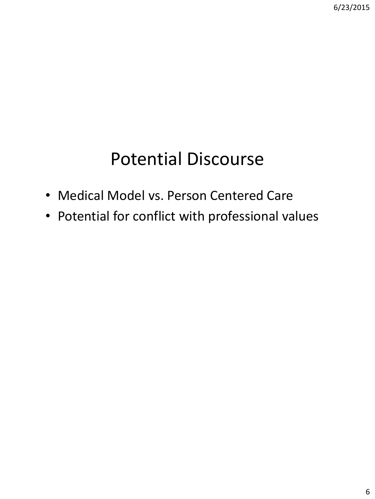## Potential Discourse

- Medical Model vs. Person Centered Care
- Potential for conflict with professional values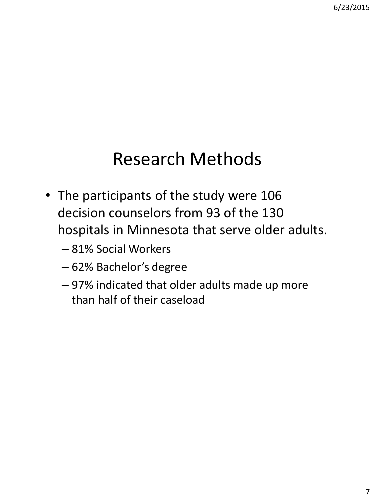### Research Methods

- The participants of the study were 106 decision counselors from 93 of the 130 hospitals in Minnesota that serve older adults.
	- 81% Social Workers
	- 62% Bachelor's degree
	- 97% indicated that older adults made up more than half of their caseload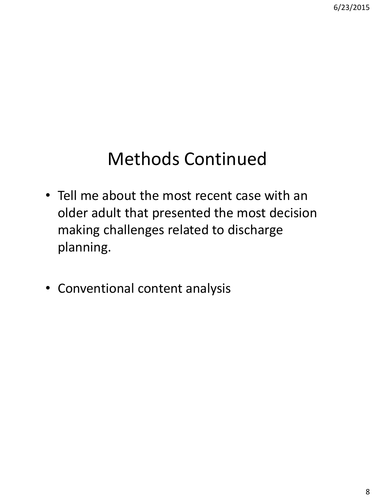## Methods Continued

- Tell me about the most recent case with an older adult that presented the most decision making challenges related to discharge planning.
- Conventional content analysis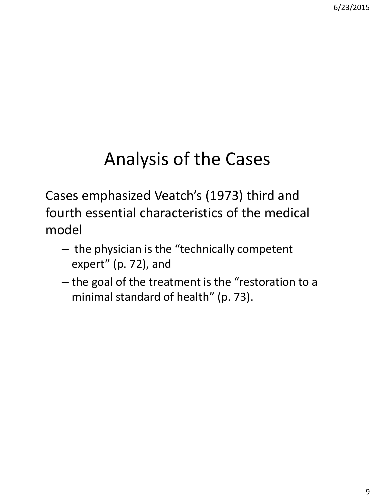# Analysis of the Cases

Cases emphasized Veatch's (1973) third and fourth essential characteristics of the medical model

- the physician is the "technically competent expert" (p. 72), and
- the goal of the treatment is the "restoration to a minimal standard of health" (p. 73).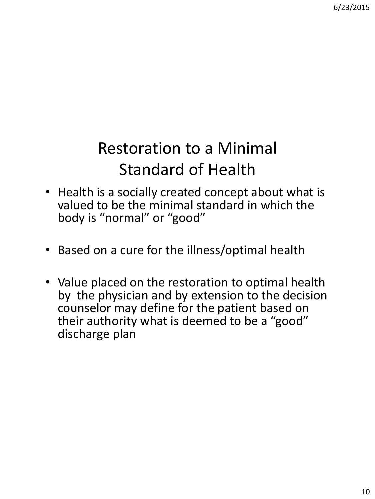### Restoration to a Minimal Standard of Health

- Health is a socially created concept about what is valued to be the minimal standard in which the body is "normal" or "good"
- Based on a cure for the illness/optimal health
- Value placed on the restoration to optimal health by the physician and by extension to the decision counselor may define for the patient based on their authority what is deemed to be a "good" discharge plan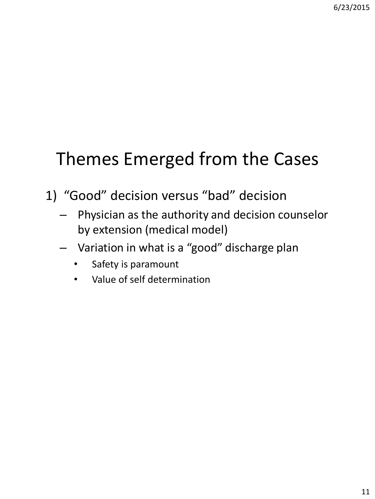## Themes Emerged from the Cases

- 1) "Good" decision versus "bad" decision
	- Physician as the authority and decision counselor by extension (medical model)
	- Variation in what is a "good" discharge plan
		- Safety is paramount
		- Value of self determination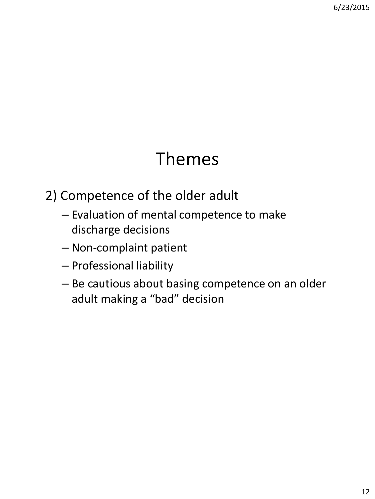### Themes

2) Competence of the older adult

- Evaluation of mental competence to make discharge decisions
- Non-complaint patient
- Professional liability
- Be cautious about basing competence on an older adult making a "bad" decision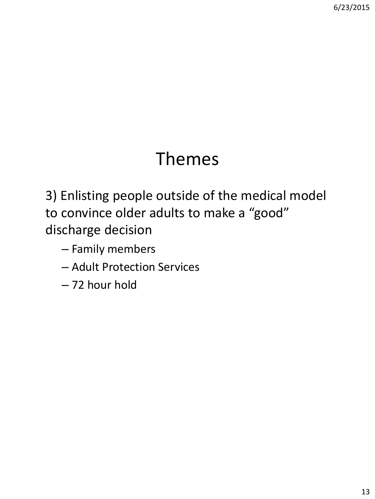### Themes

3) Enlisting people outside of the medical model to convince older adults to make a "good" discharge decision

- Family members
- Adult Protection Services
- 72 hour hold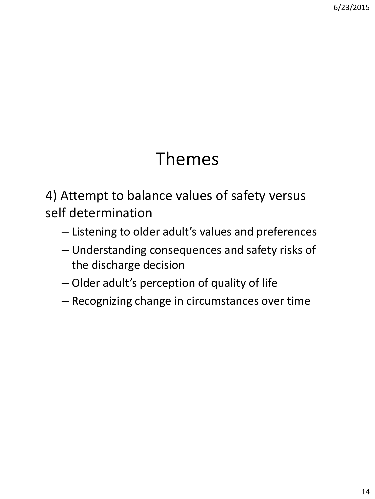### Themes

4) Attempt to balance values of safety versus self determination

- Listening to older adult's values and preferences
- Understanding consequences and safety risks of the discharge decision
- Older adult's perception of quality of life
- Recognizing change in circumstances over time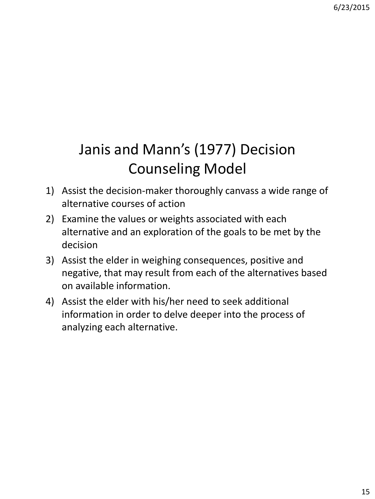#### Janis and Mann's (1977) Decision Counseling Model

- 1) Assist the decision-maker thoroughly canvass a wide range of alternative courses of action
- 2) Examine the values or weights associated with each alternative and an exploration of the goals to be met by the decision
- 3) Assist the elder in weighing consequences, positive and negative, that may result from each of the alternatives based on available information.
- 4) Assist the elder with his/her need to seek additional information in order to delve deeper into the process of analyzing each alternative.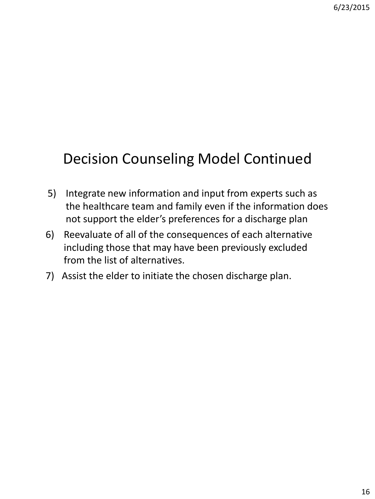#### Decision Counseling Model Continued

- 5) Integrate new information and input from experts such as the healthcare team and family even if the information does not support the elder's preferences for a discharge plan
- 6) Reevaluate of all of the consequences of each alternative including those that may have been previously excluded from the list of alternatives.
- 7) Assist the elder to initiate the chosen discharge plan.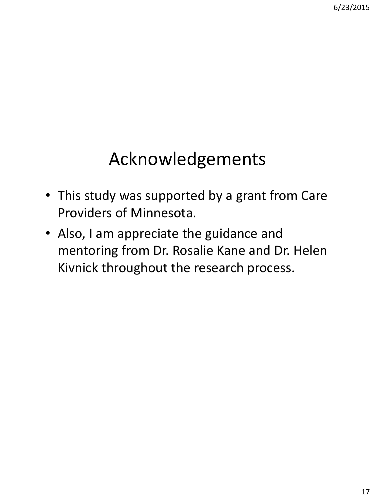## Acknowledgements

- This study was supported by a grant from Care Providers of Minnesota.
- Also, I am appreciate the guidance and mentoring from Dr. Rosalie Kane and Dr. Helen Kivnick throughout the research process.